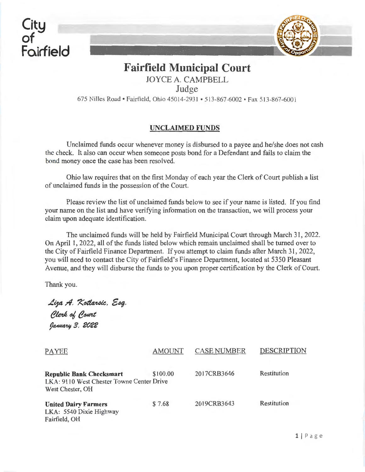**City of Foirfield** 



## **Fairfield Municipal Court**  JOYCE A. CAMPBELL

Judge

675 Nilles Road • Fairfield, Ohio 45014-2931 • 513-867-6002 • Fax 513-867-6001

## UNCLAIMED FUNDS

Unclaimed funds occur whenever money is disbursed to a payee and he/she does not cash the check. It also can occur when someone posts bond for a Defendant and fails to claim the bond money once the case has been resolved.

Ohio law requires that on the first Monday of each year the Clerk of Court publish a list of unclaimed funds in the possession of the Court.

Please review the list of unclaimed funds below to see if your name is listed. If you find your name on the list and have verifying information on the transaction, we will process your claim upon adequate identification.

The unclaimed funds will be held by Fairfield Municipal Court through March 31, 2022. On April 1, 2022, all of the funds listed below which remain unclaimed shall be turned over to the City of Fairfield Finance Department. If you attempt to claim funds after March 31 , 2022, you will need to contact the City of Fairfield's Finance Department, located at 5350 Pleasant A venue, and they will disburse the funds to you upon proper certification by the Clerk of Court.

Thank you.

Liza A. Kotlarsic. Esg. Clerk of Court Даниагц З. 2022

| <b>PAYEE</b>                                                                                     | <b>AMOUNT</b> | <b>CASE NUMBER</b> | <b>DESCRIPTION</b> |
|--------------------------------------------------------------------------------------------------|---------------|--------------------|--------------------|
| <b>Republic Bank Checksmart</b><br>LKA: 9110 West Chester Towne Center Drive<br>West Chester, OH | \$100.00      | 2017CRB3646        | Restitution        |
| <b>United Dairy Farmers</b><br>LKA: 5540 Dixie Highway<br>Fairfield, OH                          | \$7.68        | 2019CRB3643        | Restitution        |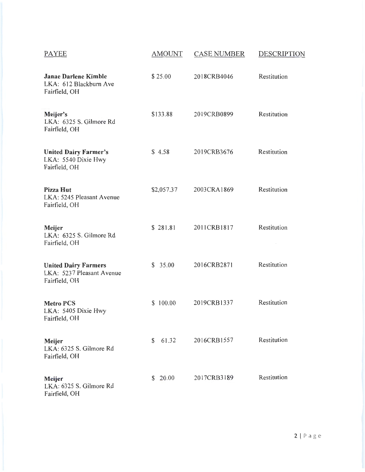| <b>PAYEE</b>                                                              | <b>AMOUNT</b> | <b>CASE NUMBER</b> | <b>DESCRIPTION</b> |
|---------------------------------------------------------------------------|---------------|--------------------|--------------------|
| <b>Janae Darlene Kimble</b><br>LKA: 612 Blackburn Ave<br>Fairfield, OH    | \$25.00       | 2018CRB4046        | Restitution        |
| Meijer's<br>LKA: 6325 S. Gilmore Rd<br>Fairfield, OH                      | \$133.88      | 2019CRB0899        | Restitution        |
| <b>United Dairy Farmer's</b><br>LKA: 5540 Dixie Hwy<br>Fairfield, OH      | \$4.58        | 2019CRB3676        | Restitution        |
| <b>Pizza Hut</b><br>LKA: 5245 Pleasant Avenue<br>Fairfield, OH            | \$2,057.37    | 2003CRA1869        | Restitution        |
| Meijer<br>LKA: 6325 S. Gilmore Rd<br>Fairfield, OH                        | \$281.81      | 2011CRB1817        | Restitution        |
| <b>United Dairy Farmers</b><br>LKA: 5237 Pleasant Avenue<br>Fairfield, OH | \$35.00       | 2016CRB2871        | Restitution        |
| <b>Metro PCS</b><br>LKA: 5405 Dixie Hwy<br>Fairfield, OH                  | \$100.00      | 2019CRB1337        | Restitution        |
| Meijer<br>LKA: 6325 S. Gilmore Rd<br>Fairfield, OH                        | 61.32<br>\$   | 2016CRB1557        | Restitution        |
| Meijer<br>LKA: 6325 S. Gilmore Rd<br>Fairfield, OH                        | \$20.00       | 2017CFtB3189       | Restitution        |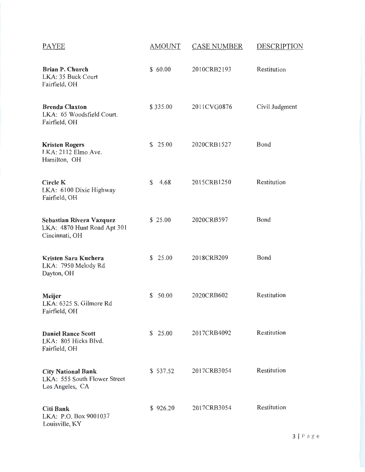| <b>PAYEE</b>                                                                 | <b>AMOUNT</b> | <b>CASE NUMBER</b> | <b>DESCRIPTION</b> |
|------------------------------------------------------------------------------|---------------|--------------------|--------------------|
| <b>Brian P. Church</b><br>LKA: 35 Buck Court<br>Fairfield, OH                | \$60.00       | 2010CRB2193        | Restitution        |
| <b>Brenda Claxton</b><br>LKA: 65 Woodsfield Court.<br>Fairfield, OH          | \$335.00      | 2011CVG0876        | Civil Judgment     |
| <b>Kristen Rogers</b><br>LKA: 2112 Elmo Ave.<br>Hamilton, OH                 | \$25.00       | 2020CRB1527        | Bond               |
| <b>Circle K</b><br>LKA: 6100 Dixie Highway<br>Fairfield, OH                  | \$<br>4.68    | 2015CRB1250        | Restitution        |
| Sebastian Rivera Vazquez<br>LKA: 4870 Hunt Road Apt 301<br>Cincinnati, OH    | \$25.00       | 2020CRB597         | Bond               |
| Kristen Sara Kuchera<br>LKA: 7950 Melody Rd<br>Dayton, OH                    | \$25.00       | 2018CRB209         | Bond               |
| Meijer<br>LKA: 6325 S. Gilmore Rd<br>Fairfield, OH                           | 50.00<br>\$.  | 2020CRB602         | Restitution        |
| <b>Daniel Rance Scott</b><br>LKA: 805 Hicks Blvd.<br>Fairfield, OH           | \$25.00       | 2017CRB4092        | Restitution        |
| <b>City National Bank</b><br>LKA: 555 South Flower Street<br>Los Angeles, CA | \$537.52      | 2017CRB3054        | Restitution        |
| <b>Citi Bank</b><br>LKA: P.O. Box 9001037<br>Louisville, KY                  | \$926.20      | 2017CRB3054        | Restitution        |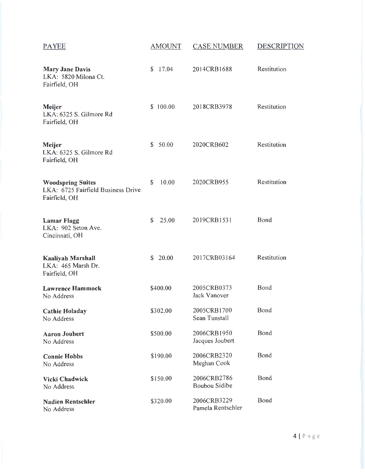| PAYEE                                                                           | <b>AMOUNT</b>           | <b>CASE NUMBER</b>                  | <b>DESCRIPTION</b> |
|---------------------------------------------------------------------------------|-------------------------|-------------------------------------|--------------------|
| <b>Mary Jane Davis</b><br>LKA: 5820 Milona Ct.<br>Fairfield, OH                 | 17.04<br>$\mathbb{S}^-$ | 2014CRB1688                         | Restitution        |
| Meijer<br>LKA: 6325 S. Gilmore Rd<br>Fairfield, OH                              | \$100.00                | 2018CRB3978                         | Restitution        |
| Meijer<br>LKA: 6325 S. Gilmore Rd<br>Fairfield, OH                              | \$50.00                 | 2020CRB602                          | Restitution        |
| <b>Woodspring Suites</b><br>LKA: 6725 Fairfield Business Drive<br>Fairfield, OH | 10.00<br>\$             | 2020CRB955                          | Restitution        |
| <b>Lamar Flagg</b><br>LKA: 902 Seton Ave.<br>Cincinnati, OH                     | 25.00<br>\$             | 2019CRB1531                         | Bond               |
| <b>Kaaliyah Marshall</b><br>LKA: 465 Marsh Dr.<br>Fairfield, OH                 | 20.00<br>\$             | 2017CRB03164                        | Restitution        |
| <b>Lawrence Hammock</b><br>No Address                                           | \$400.00                | 2005CRB0373<br><b>Jack Vanover</b>  | Bond               |
| <b>Cathie Holaday</b><br>No Address                                             | \$302.00                | 2005CRB1700<br>Sean Tunstall        | Bond               |
| <b>Aaron Joubert</b><br>No Address                                              | \$500.00                | 2006CRB1950<br>Jacques Joubert      | Bond               |
| <b>Connie Hobbs</b><br>No Acdress                                               | \$190.00                | 2006CRB2320<br>Meghan Cook          | Bond               |
| Vicki Chadwick<br>No Address                                                    | \$150.00                | 2006CRB2786<br><b>Boubou Sidibe</b> | Bond               |
| <b>Nadien Rentschler</b><br>No Address                                          | \$320.00                | 2006CRB3229<br>Pamela Rentschler    | Bond               |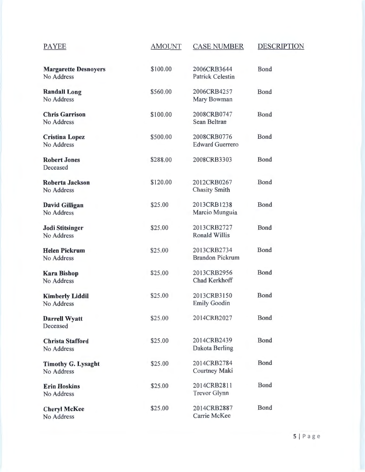| <b>PAYEE</b>                              | <b>AMOUNT</b> | <b>CASE NUMBER</b>                     | <b>DESCRIPTION</b> |
|-------------------------------------------|---------------|----------------------------------------|--------------------|
| <b>Margarette Desnoyers</b><br>No Address | \$100.00      | 2006CRB3644<br><b>Patrick Celestin</b> | Bond               |
| <b>Randall Long</b><br>No Address         | \$560.00      | 2006CRB4257<br>Mary Bowman             | Bond               |
| <b>Chris Garrison</b><br>No Address       | \$100.00      | 2008CRB0747<br>Sean Beltran            | Bond               |
| <b>Cristina Lopez</b><br>No Address       | \$500.00      | 2008CRB0776<br><b>Edward Guerrero</b>  | Bond               |
| <b>Robert Jones</b><br>Deceased           | \$288.00      | 2008CRB3303                            | <b>Bond</b>        |
| Roberta Jackson<br>No Address             | \$120.00      | 2012CRB0267<br><b>Chasity Smith</b>    | <b>Bond</b>        |
| David Gilligan<br>No Address              | \$25.00       | 2013CRB1238<br>Marcio Munguia          | Bond               |
| <b>Jodi Stitsinger</b><br>No Address      | \$25.00       | 2013CRB2727<br><b>Ronald Willis</b>    | Bond               |
| <b>Helen Pickrum</b><br>No Address        | \$25.00       | 2013CRB2734<br><b>Brandon Pickrum</b>  | Bond               |
| <b>Kara Bishop</b><br>No Address          | \$25.00       | 2013CRB2956<br>Chad Kerkhoff           | <b>Bond</b>        |
| <b>Kimberly Liddil</b><br>No Address      | \$25.00       | 2013CRB3150<br><b>Emily Goodin</b>     | Bond               |
| <b>Darrell Wyatt</b><br>Deceased          | \$25.00       | 2014CRB2027                            | Bond               |
| <b>Christa Stafford</b><br>No Address     | \$25.00       | 2014CRB2439<br>Dakota Berling          | <b>Bond</b>        |
| <b>Timothy G. Lysaght</b><br>No Address   | \$25.00       | 2014CRB2784<br>Courtney Maki           | <b>Bond</b>        |
| <b>Erin Hoskins</b><br>No Address         | \$25.00       | 2014CRB2811<br>Trevor Glynn            | <b>Bond</b>        |
| <b>Cheryl McKee</b><br>No Address         | \$25.00       | 2014CRB2887<br>Carrie McKee            | Bond               |